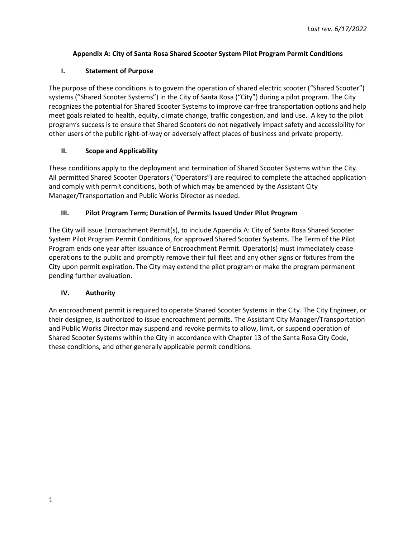## **Appendix A: City of Santa Rosa Shared Scooter System Pilot Program Permit Conditions**

## **I. Statement of Purpose**

The purpose of these conditions is to govern the operation of shared electric scooter ("Shared Scooter") systems ("Shared Scooter Systems") in the City of Santa Rosa ("City") during a pilot program. The City recognizes the potential for Shared Scooter Systems to improve car-free transportation options and help meet goals related to health, equity, climate change, traffic congestion, and land use. A key to the pilot program's success is to ensure that Shared Scooters do not negatively impact safety and accessibility for other users of the public right-of-way or adversely affect places of business and private property.

## **II. Scope and Applicability**

These conditions apply to the deployment and termination of Shared Scooter Systems within the City. All permitted Shared Scooter Operators ("Operators") are required to complete the attached application and comply with permit conditions, both of which may be amended by the Assistant City Manager/Transportation and Public Works Director as needed.

# **III. Pilot Program Term; Duration of Permits Issued Under Pilot Program**

The City will issue Encroachment Permit(s), to include Appendix A: City of Santa Rosa Shared Scooter System Pilot Program Permit Conditions, for approved Shared Scooter Systems. The Term of the Pilot Program ends one year after issuance of Encroachment Permit. Operator(s) must immediately cease operations to the public and promptly remove their full fleet and any other signs or fixtures from the City upon permit expiration. The City may extend the pilot program or make the program permanent pending further evaluation.

# **IV. Authority**

An encroachment permit is required to operate Shared Scooter Systems in the City. The City Engineer, or their designee, is authorized to issue encroachment permits. The Assistant City Manager/Transportation and Public Works Director may suspend and revoke permits to allow, limit, or suspend operation of Shared Scooter Systems within the City in accordance with Chapter 13 of the Santa Rosa City Code, these conditions, and other generally applicable permit conditions.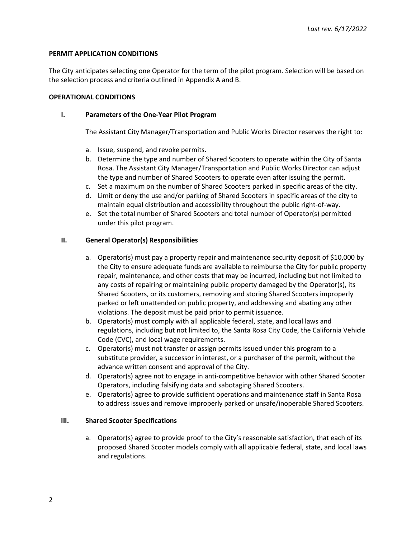## **PERMIT APPLICATION CONDITIONS**

The City anticipates selecting one Operator for the term of the pilot program. Selection will be based on the selection process and criteria outlined in Appendix A and B.

## **OPERATIONAL CONDITIONS**

## **I. Parameters of the One-Year Pilot Program**

The Assistant City Manager/Transportation and Public Works Director reserves the right to:

- a. Issue, suspend, and revoke permits.
- b. Determine the type and number of Shared Scooters to operate within the City of Santa Rosa. The Assistant City Manager/Transportation and Public Works Director can adjust the type and number of Shared Scooters to operate even after issuing the permit.
- c. Set a maximum on the number of Shared Scooters parked in specific areas of the city.
- d. Limit or deny the use and/or parking of Shared Scooters in specific areas of the city to maintain equal distribution and accessibility throughout the public right-of-way.
- e. Set the total number of Shared Scooters and total number of Operator(s) permitted under this pilot program.

## **II. General Operator(s) Responsibilities**

- a. Operator(s) must pay a property repair and maintenance security deposit of \$10,000 by the City to ensure adequate funds are available to reimburse the City for public property repair, maintenance, and other costs that may be incurred, including but not limited to any costs of repairing or maintaining public property damaged by the Operator(s), its Shared Scooters, or its customers, removing and storing Shared Scooters improperly parked or left unattended on public property, and addressing and abating any other violations. The deposit must be paid prior to permit issuance.
- b. Operator(s) must comply with all applicable federal, state, and local laws and regulations, including but not limited to, the Santa Rosa City Code, the California Vehicle Code (CVC), and local wage requirements.
- c. Operator(s) must not transfer or assign permits issued under this program to a substitute provider, a successor in interest, or a purchaser of the permit, without the advance written consent and approval of the City.
- d. Operator(s) agree not to engage in anti-competitive behavior with other Shared Scooter Operators, including falsifying data and sabotaging Shared Scooters.
- e. Operator(s) agree to provide sufficient operations and maintenance staff in Santa Rosa to address issues and remove improperly parked or unsafe/inoperable Shared Scooters.

## **III. Shared Scooter Specifications**

a. Operator(s) agree to provide proof to the City's reasonable satisfaction, that each of its proposed Shared Scooter models comply with all applicable federal, state, and local laws and regulations.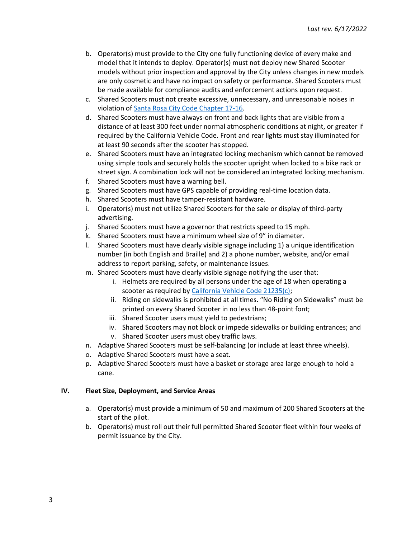- b. Operator(s) must provide to the City one fully functioning device of every make and model that it intends to deploy. Operator(s) must not deploy new Shared Scooter models without prior inspection and approval by the City unless changes in new models are only cosmetic and have no impact on safety or performance. Shared Scooters must be made available for compliance audits and enforcement actions upon request.
- c. Shared Scooters must not create excessive, unnecessary, and unreasonable noises in violation of [Santa Rosa City Code Chapter 17-16.](https://qcode.us/codes/santarosa/)
- d. Shared Scooters must have always-on front and back lights that are visible from a distance of at least 300 feet under normal atmospheric conditions at night, or greater if required by the California Vehicle Code. Front and rear lights must stay illuminated for at least 90 seconds after the scooter has stopped.
- e. Shared Scooters must have an integrated locking mechanism which cannot be removed using simple tools and securely holds the scooter upright when locked to a bike rack or street sign. A combination lock will not be considered an integrated locking mechanism.
- f. Shared Scooters must have a warning bell.
- g. Shared Scooters must have GPS capable of providing real-time location data.
- h. Shared Scooters must have tamper-resistant hardware.
- i. Operator(s) must not utilize Shared Scooters for the sale or display of third-party advertising.
- j. Shared Scooters must have a governor that restricts speed to 15 mph.
- k. Shared Scooters must have a minimum wheel size of 9" in diameter.
- l. Shared Scooters must have clearly visible signage including 1) a unique identification number (in both English and Braille) and 2) a phone number, website, and/or email address to report parking, safety, or maintenance issues.
- m. Shared Scooters must have clearly visible signage notifying the user that:
	- i. Helmets are required by all persons under the age of 18 when operating a scooter as required by [California Vehicle Code 21235\(c\);](https://leginfo.legislature.ca.gov/faces/codes_displaySection.xhtml?lawCode=VEH§ionNum=21235.)
	- ii. Riding on sidewalks is prohibited at all times. "No Riding on Sidewalks" must be printed on every Shared Scooter in no less than 48-point font;
	- iii. Shared Scooter users must yield to pedestrians;
	- iv. Shared Scooters may not block or impede sidewalks or building entrances; and v. Shared Scooter users must obey traffic laws.
- n. Adaptive Shared Scooters must be self-balancing (or include at least three wheels).
- o. Adaptive Shared Scooters must have a seat.
- p. Adaptive Shared Scooters must have a basket or storage area large enough to hold a cane.

#### **IV. Fleet Size, Deployment, and Service Areas**

- a. Operator(s) must provide a minimum of 50 and maximum of 200 Shared Scooters at the start of the pilot.
- b. Operator(s) must roll out their full permitted Shared Scooter fleet within four weeks of permit issuance by the City.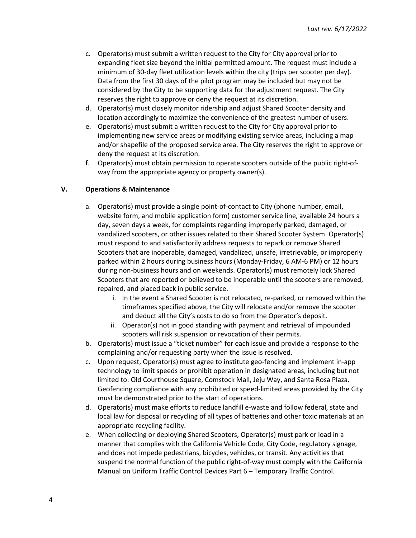- c. Operator(s) must submit a written request to the City for City approval prior to expanding fleet size beyond the initial permitted amount. The request must include a minimum of 30-day fleet utilization levels within the city (trips per scooter per day). Data from the first 30 days of the pilot program may be included but may not be considered by the City to be supporting data for the adjustment request. The City reserves the right to approve or deny the request at its discretion.
- d. Operator(s) must closely monitor ridership and adjust Shared Scooter density and location accordingly to maximize the convenience of the greatest number of users.
- e. Operator(s) must submit a written request to the City for City approval prior to implementing new service areas or modifying existing service areas, including a map and/or shapefile of the proposed service area. The City reserves the right to approve or deny the request at its discretion.
- f. Operator(s) must obtain permission to operate scooters outside of the public right-ofway from the appropriate agency or property owner(s).

## **V. Operations & Maintenance**

- a. Operator(s) must provide a single point-of-contact to City (phone number, email, website form, and mobile application form) customer service line, available 24 hours a day, seven days a week, for complaints regarding improperly parked, damaged, or vandalized scooters, or other issues related to their Shared Scooter System. Operator(s) must respond to and satisfactorily address requests to repark or remove Shared Scooters that are inoperable, damaged, vandalized, unsafe, irretrievable, or improperly parked within 2 hours during business hours (Monday-Friday, 6 AM-6 PM) or 12 hours during non-business hours and on weekends. Operator(s) must remotely lock Shared Scooters that are reported or believed to be inoperable until the scooters are removed, repaired, and placed back in public service.
	- i. In the event a Shared Scooter is not relocated, re-parked, or removed within the timeframes specified above, the City will relocate and/or remove the scooter and deduct all the City's costs to do so from the Operator's deposit.
	- ii. Operator(s) not in good standing with payment and retrieval of impounded scooters will risk suspension or revocation of their permits.
- b. Operator(s) must issue a "ticket number" for each issue and provide a response to the complaining and/or requesting party when the issue is resolved.
- c. Upon request, Operator(s) must agree to institute geo-fencing and implement in-app technology to limit speeds or prohibit operation in designated areas, including but not limited to: Old Courthouse Square, Comstock Mall, Jeju Way, and Santa Rosa Plaza. Geofencing compliance with any prohibited or speed-limited areas provided by the City must be demonstrated prior to the start of operations.
- d. Operator(s) must make efforts to reduce landfill e-waste and follow federal, state and local law for disposal or recycling of all types of batteries and other toxic materials at an appropriate recycling facility.
- e. When collecting or deploying Shared Scooters, Operator(s) must park or load in a manner that complies with the California Vehicle Code, City Code, regulatory signage, and does not impede pedestrians, bicycles, vehicles, or transit. Any activities that suspend the normal function of the public right-of-way must comply with the California Manual on Uniform Traffic Control Devices Part 6 – Temporary Traffic Control.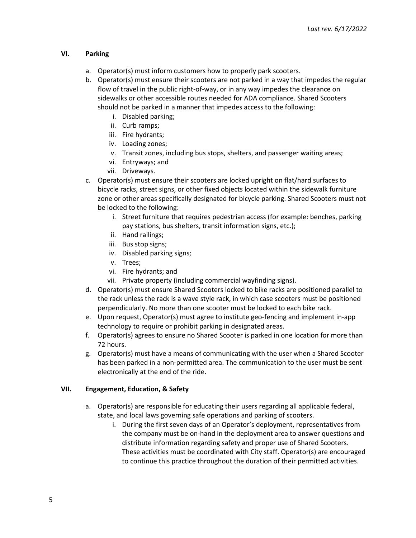## **VI. Parking**

- a. Operator(s) must inform customers how to properly park scooters.
- b. Operator(s) must ensure their scooters are not parked in a way that impedes the regular flow of travel in the public right-of-way, or in any way impedes the clearance on sidewalks or other accessible routes needed for ADA compliance. Shared Scooters should not be parked in a manner that impedes access to the following:
	- i. Disabled parking;
	- ii. Curb ramps;
	- iii. Fire hydrants;
	- iv. Loading zones;
	- v. Transit zones, including bus stops, shelters, and passenger waiting areas;
	- vi. Entryways; and
	- vii. Driveways.
- c. Operator(s) must ensure their scooters are locked upright on flat/hard surfaces to bicycle racks, street signs, or other fixed objects located within the sidewalk furniture zone or other areas specifically designated for bicycle parking. Shared Scooters must not be locked to the following:
	- i. Street furniture that requires pedestrian access (for example: benches, parking pay stations, bus shelters, transit information signs, etc.);
	- ii. Hand railings;
	- iii. Bus stop signs;
	- iv. Disabled parking signs;
	- v. Trees;
	- vi. Fire hydrants; and
	- vii. Private property (including commercial wayfinding signs).
- d. Operator(s) must ensure Shared Scooters locked to bike racks are positioned parallel to the rack unless the rack is a wave style rack, in which case scooters must be positioned perpendicularly. No more than one scooter must be locked to each bike rack.
- e. Upon request, Operator(s) must agree to institute geo-fencing and implement in-app technology to require or prohibit parking in designated areas.
- f. Operator(s) agrees to ensure no Shared Scooter is parked in one location for more than 72 hours.
- g. Operator(s) must have a means of communicating with the user when a Shared Scooter has been parked in a non-permitted area. The communication to the user must be sent electronically at the end of the ride.

## **VII. Engagement, Education, & Safety**

- a. Operator(s) are responsible for educating their users regarding all applicable federal, state, and local laws governing safe operations and parking of scooters.
	- i. During the first seven days of an Operator's deployment, representatives from the company must be on-hand in the deployment area to answer questions and distribute information regarding safety and proper use of Shared Scooters. These activities must be coordinated with City staff. Operator(s) are encouraged to continue this practice throughout the duration of their permitted activities.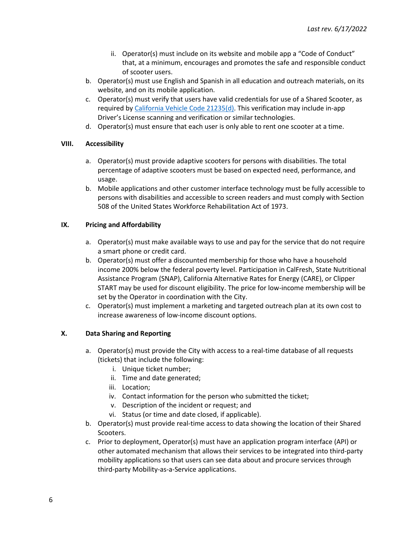- ii. Operator(s) must include on its website and mobile app a "Code of Conduct" that, at a minimum, encourages and promotes the safe and responsible conduct of scooter users.
- b. Operator(s) must use English and Spanish in all education and outreach materials, on its website, and on its mobile application.
- c. Operator(s) must verify that users have valid credentials for use of a Shared Scooter, as required by [California Vehicle Code](https://leginfo.legislature.ca.gov/faces/codes_displaySection.xhtml?lawCode=VEH§ionNum=21235.) 21235(d). This verification may include in-app Driver's License scanning and verification or similar technologies.
- d. Operator(s) must ensure that each user is only able to rent one scooter at a time.

## **VIII. Accessibility**

- a. Operator(s) must provide adaptive scooters for persons with disabilities. The total percentage of adaptive scooters must be based on expected need, performance, and usage.
- b. Mobile applications and other customer interface technology must be fully accessible to persons with disabilities and accessible to screen readers and must comply with Section 508 of the United States Workforce Rehabilitation Act of 1973.

## **IX. Pricing and Affordability**

- a. Operator(s) must make available ways to use and pay for the service that do not require a smart phone or credit card.
- b. Operator(s) must offer a discounted membership for those who have a household income 200% below the federal poverty level. Participation in CalFresh, State Nutritional Assistance Program (SNAP), California Alternative Rates for Energy (CARE), or Clipper START may be used for discount eligibility. The price for low-income membership will be set by the Operator in coordination with the City.
- c. Operator(s) must implement a marketing and targeted outreach plan at its own cost to increase awareness of low-income discount options.

## **X. Data Sharing and Reporting**

- a. Operator(s) must provide the City with access to a real-time database of all requests (tickets) that include the following:
	- i. Unique ticket number;
	- ii. Time and date generated;
	- iii. Location;
	- iv. Contact information for the person who submitted the ticket;
	- v. Description of the incident or request; and
	- vi. Status (or time and date closed, if applicable).
- b. Operator(s) must provide real-time access to data showing the location of their Shared Scooters.
- c. Prior to deployment, Operator(s) must have an application program interface (API) or other automated mechanism that allows their services to be integrated into third-party mobility applications so that users can see data about and procure services through third-party Mobility-as-a-Service applications.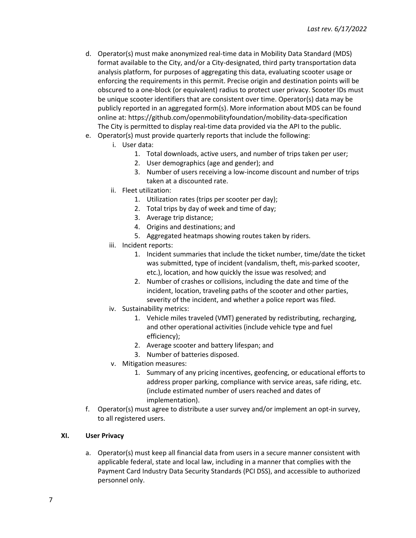- d. Operator(s) must make anonymized real-time data in Mobility Data Standard (MDS) format available to the City, and/or a City-designated, third party transportation data analysis platform, for purposes of aggregating this data, evaluating scooter usage or enforcing the requirements in this permit. Precise origin and destination points will be obscured to a one-block (or equivalent) radius to protect user privacy. Scooter IDs must be unique scooter identifiers that are consistent over time. Operator(s) data may be publicly reported in an aggregated form(s). More information about MDS can be found online at: https://github.com/openmobilityfoundation/mobility-data-specification The City is permitted to display real-time data provided via the API to the public.
- e. Operator(s) must provide quarterly reports that include the following:
	- i. User data:
		- 1. Total downloads, active users, and number of trips taken per user;
		- 2. User demographics (age and gender); and
		- 3. Number of users receiving a low-income discount and number of trips taken at a discounted rate.
	- ii. Fleet utilization:
		- 1. Utilization rates (trips per scooter per day);
		- 2. Total trips by day of week and time of day;
		- 3. Average trip distance;
		- 4. Origins and destinations; and
		- 5. Aggregated heatmaps showing routes taken by riders.
	- iii. Incident reports:
		- 1. Incident summaries that include the ticket number, time/date the ticket was submitted, type of incident (vandalism, theft, mis-parked scooter, etc.), location, and how quickly the issue was resolved; and
		- 2. Number of crashes or collisions, including the date and time of the incident, location, traveling paths of the scooter and other parties, severity of the incident, and whether a police report was filed.
	- iv. Sustainability metrics:
		- 1. Vehicle miles traveled (VMT) generated by redistributing, recharging, and other operational activities (include vehicle type and fuel efficiency);
		- 2. Average scooter and battery lifespan; and
		- 3. Number of batteries disposed.
	- v. Mitigation measures:
		- 1. Summary of any pricing incentives, geofencing, or educational efforts to address proper parking, compliance with service areas, safe riding, etc. (include estimated number of users reached and dates of implementation).
- f. Operator(s) must agree to distribute a user survey and/or implement an opt-in survey, to all registered users.

## **XI. User Privacy**

a. Operator(s) must keep all financial data from users in a secure manner consistent with applicable federal, state and local law, including in a manner that complies with the Payment Card Industry Data Security Standards (PCI DSS), and accessible to authorized personnel only.